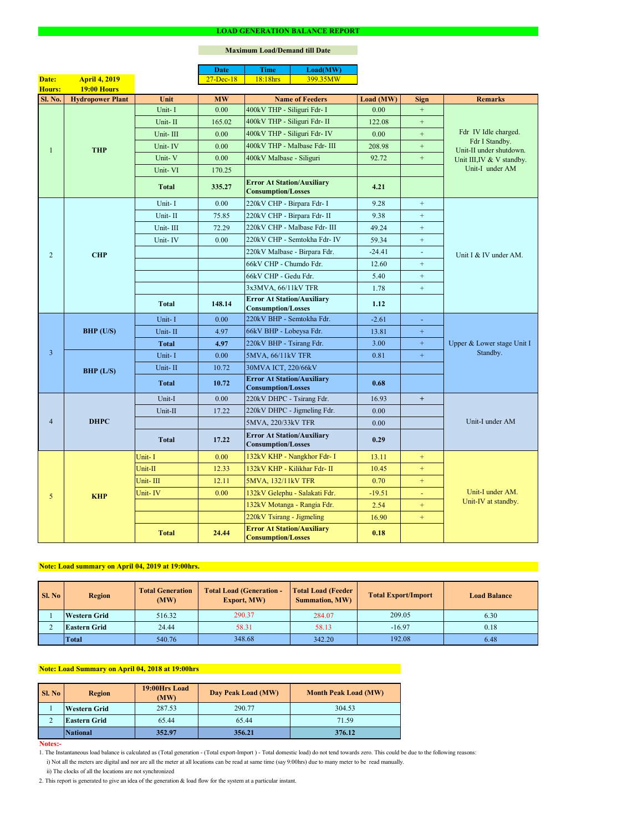#### **Notes:-**

|                |                         |              | <b>Date</b>       | <b>Time</b>                                                    | Load(MW)                      |           |                  |                                              |  |
|----------------|-------------------------|--------------|-------------------|----------------------------------------------------------------|-------------------------------|-----------|------------------|----------------------------------------------|--|
| Date:          | <b>April 4, 2019</b>    |              | $27 - Dec-18$     | 18:18hrs                                                       | 399.35MW                      |           |                  |                                              |  |
| <b>Hours:</b>  | 19:00 Hours             |              |                   |                                                                |                               |           |                  |                                              |  |
| Sl. No.        | <b>Hydropower Plant</b> | Unit         | <b>MW</b>         |                                                                | <b>Name of Feeders</b>        | Load (MW) | <b>Sign</b>      | <b>Remarks</b>                               |  |
|                |                         | Unit-I       | 0.00              | 400kV THP - Siliguri Fdr- I                                    |                               | 0.00      | $\boldsymbol{+}$ |                                              |  |
|                |                         | Unit-II      | 165.02            | 400kV THP - Siliguri Fdr- II                                   |                               | 122.08    | $+$              |                                              |  |
|                |                         | Unit-III     | 0.00              |                                                                | 400kV THP - Siliguri Fdr- IV  | 0.00      | $+$              | Fdr IV Idle charged.<br>Fdr I Standby.       |  |
|                | <b>THP</b>              | Unit-IV      | 0.00              |                                                                | 400kV THP - Malbase Fdr- III  | 208.98    | $+$              | Unit-II under shutdown.                      |  |
|                |                         | Unit-V       | 0.00              | 400kV Malbase - Siliguri                                       |                               | 92.72     | $+$              | Unit III, IV & V standby.<br>Unit-I under AM |  |
|                |                         | Unit-VI      | 170.25            |                                                                |                               |           |                  |                                              |  |
|                |                         | <b>Total</b> | 335.27            | <b>Error At Station/Auxiliary</b><br><b>Consumption/Losses</b> |                               | 4.21      |                  |                                              |  |
|                |                         | Unit-I       | 0.00              | 220kV CHP - Birpara Fdr- I                                     |                               | 9.28      | $+$              |                                              |  |
|                |                         | Unit-II      | 75.85             | 220kV CHP - Birpara Fdr- II                                    |                               | 9.38      | $+$              |                                              |  |
|                |                         | Unit-III     | 72.29             |                                                                | 220kV CHP - Malbase Fdr- III  | 49.24     | $+$              |                                              |  |
|                |                         | Unit-IV      | 0.00              |                                                                | 220kV CHP - Semtokha Fdr- IV  | 59.34     | $\boldsymbol{+}$ |                                              |  |
| 2              | <b>CHP</b>              |              |                   |                                                                | 220kV Malbase - Birpara Fdr.  | $-24.41$  | $\blacksquare$   | Unit I & IV under AM.                        |  |
|                |                         |              |                   | 66kV CHP - Chumdo Fdr.                                         |                               | 12.60     | $+$              |                                              |  |
|                |                         |              |                   | 66kV CHP - Gedu Fdr.                                           |                               | 5.40      | $+$              |                                              |  |
|                |                         |              |                   | 3x3MVA, 66/11kV TFR                                            |                               | 1.78      | $+$              |                                              |  |
|                |                         | <b>Total</b> | 148.14            | <b>Error At Station/Auxiliary</b><br><b>Consumption/Losses</b> |                               | 1.12      |                  |                                              |  |
|                | <b>BHP</b> (U/S)        | Unit-I       | 0.00              | 220kV BHP - Semtokha Fdr.                                      |                               | $-2.61$   | $\blacksquare$   |                                              |  |
|                |                         | Unit-II      | 4.97              | 66kV BHP - Lobeysa Fdr.                                        |                               | 13.81     | $\pm$            |                                              |  |
|                |                         | <b>Total</b> | 4.97              | 220kV BHP - Tsirang Fdr.                                       |                               | 3.00      | $+$              | Upper & Lower stage Unit I<br>Standby.       |  |
| $\overline{3}$ | BHP (L/S)               | Unit-I       | 0.00              | 5MVA, 66/11kV TFR                                              |                               | 0.81      | $\pm$            |                                              |  |
|                |                         | Unit-II      | 10.72             | 30MVA ICT, 220/66kV                                            |                               |           |                  |                                              |  |
|                |                         |              |                   | <b>Error At Station/Auxiliary</b>                              |                               |           |                  |                                              |  |
|                |                         | <b>Total</b> | 10.72             | <b>Consumption/Losses</b>                                      |                               | 0.68      |                  |                                              |  |
|                | <b>DHPC</b>             | Unit-I       | 0.00              | 220kV DHPC - Tsirang Fdr.                                      |                               | 16.93     | $+$              |                                              |  |
|                |                         | Unit-II      | 17.22             |                                                                | 220kV DHPC - Jigmeling Fdr.   | 0.00      |                  |                                              |  |
| $\overline{4}$ |                         |              |                   | 5MVA, 220/33kV TFR                                             |                               | 0.00      |                  | Unit-I under AM                              |  |
|                |                         | <b>Total</b> | 17.22             | <b>Error At Station/Auxiliary</b><br><b>Consumption/Losses</b> |                               | 0.29      |                  |                                              |  |
|                |                         | Unit-I       | 0.00              |                                                                | 132kV KHP - Nangkhor Fdr- I   | 13.11     | $+$              |                                              |  |
|                |                         | Unit-II      | 12.33             |                                                                | 132kV KHP - Kilikhar Fdr- II  | 10.45     | $+$              |                                              |  |
|                | <b>KHP</b>              | Unit-III     | 12.11             | 5MVA, 132/11kV TFR                                             |                               | 0.70      | $+$              |                                              |  |
| 5              |                         | Unit-IV      | 0.00 <sub>1</sub> |                                                                | 132kV Gelephu - Salakati Fdr. | $-19.51$  | $\equiv$         | Unit-I under AM.                             |  |
|                |                         |              |                   |                                                                | 132kV Motanga - Rangia Fdr.   | 2.54      | $+$              | Unit-IV at standby.                          |  |
|                |                         |              |                   | 220kV Tsirang - Jigmeling                                      |                               | 16.90     | $+$              |                                              |  |
|                |                         | <b>Total</b> | 24.44             | <b>Error At Station/Auxiliary</b><br><b>Consumption/Losses</b> |                               | 0.18      |                  |                                              |  |

### **LOAD GENERATION BALANCE REPORT**

| Sl. No | <b>Total Generation</b><br><b>Region</b><br>(MW) |        | <b>Total Load (Generation -</b><br><b>Export, MW)</b> | <b>Total Load (Feeder)</b><br><b>Summation, MW)</b> | <b>Total Export/Import</b> | <b>Load Balance</b> |
|--------|--------------------------------------------------|--------|-------------------------------------------------------|-----------------------------------------------------|----------------------------|---------------------|
|        | <b>Western Grid</b>                              | 516.32 | 290.37                                                | 284.07                                              | 209.05                     | 6.30                |
|        | 24.44<br><b>Eastern Grid</b>                     |        | 58.31                                                 | 58.13                                               | $-16.97$                   | 0.18                |
|        | <b>Total</b>                                     | 540.76 | 348.68                                                | 342.20                                              | 192.08                     | 6.48                |

| Sl. No | <b>Region</b>       | 19:00Hrs Load<br>(MW) | Day Peak Load (MW) | <b>Month Peak Load (MW)</b> |  |
|--------|---------------------|-----------------------|--------------------|-----------------------------|--|
|        | <b>Western Grid</b> | 290.77<br>287.53      |                    | 304.53                      |  |
| ∠      | <b>Eastern Grid</b> | 65.44                 | 65.44              | 71.59                       |  |
|        | <b>National</b>     | 352.97                | 356.21             | 376.12                      |  |

i) Not all the meters are digital and nor are all the meter at all locations can be read at same time (say 9:00hrs) due to many meter to be read manually.

# **Note: Load Summary on April 04, 2018 at 19:00hrs**

1. The Instantaneous load balance is calculated as (Total generation - (Total export-Import ) - Total domestic load) do not tend towards zero. This could be due to the following reasons:

# **Note: Load summary on April 04, 2019 at 19:00hrs.**

2. This report is generated to give an idea of the generation & load flow for the system at a particular instant.

### **Maximum Load/Demand till Date**

ii) The clocks of all the locations are not synchronized